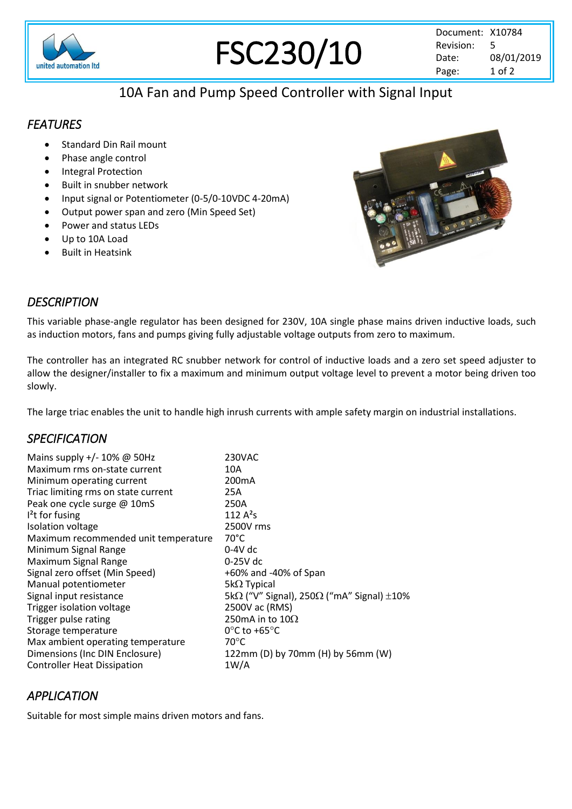

# FSC230/10

# 10A Fan and Pump Speed Controller with Signal Input

# *FEATURES*

- Standard Din Rail mount
- Phase angle control
- Integral Protection
- Built in snubber network
- Input signal or Potentiometer (0-5/0-10VDC 4-20mA)
- Output power span and zero (Min Speed Set)
- Power and status LEDs
- Up to 10A Load
- Built in Heatsink



# *DESCRIPTION*

This variable phase-angle regulator has been designed for 230V, 10A single phase mains driven inductive loads, such as induction motors, fans and pumps giving fully adjustable voltage outputs from zero to maximum.

The controller has an integrated RC snubber network for control of inductive loads and a zero set speed adjuster to allow the designer/installer to fix a maximum and minimum output voltage level to prevent a motor being driven too slowly.

The large triac enables the unit to handle high inrush currents with ample safety margin on industrial installations.

## *SPECIFICATION*

| Mains supply +/- 10% @ 50Hz<br>Maximum rms on-state current<br>Minimum operating current<br>Triac limiting rms on state current<br>Peak one cycle surge @ 10mS<br>$l2$ t for fusing | 230VAC<br>10A<br>200 <sub>m</sub> A<br>25A<br>250A<br>112 $A^2S$ |
|-------------------------------------------------------------------------------------------------------------------------------------------------------------------------------------|------------------------------------------------------------------|
| Isolation voltage                                                                                                                                                                   | 2500V rms                                                        |
| Maximum recommended unit temperature                                                                                                                                                | $70^{\circ}$ C                                                   |
| Minimum Signal Range                                                                                                                                                                | $0-4V$ dc                                                        |
| Maximum Signal Range                                                                                                                                                                | $0-25V$ dc                                                       |
| Signal zero offset (Min Speed)                                                                                                                                                      | +60% and -40% of Span                                            |
| Manual potentiometer                                                                                                                                                                | $5k\Omega$ Typical                                               |
| Signal input resistance                                                                                                                                                             | 5k $\Omega$ ("V" Signal), 250 $\Omega$ ("mA" Signal) $\pm 10\%$  |
| Trigger isolation voltage                                                                                                                                                           | 2500V ac (RMS)                                                   |
| Trigger pulse rating                                                                                                                                                                | 250mA in to $10\Omega$                                           |
| Storage temperature                                                                                                                                                                 | $0^{\circ}$ C to +65 $^{\circ}$ C                                |
| Max ambient operating temperature                                                                                                                                                   | $70^{\circ}$ C                                                   |
| Dimensions (Inc DIN Enclosure)                                                                                                                                                      | 122mm (D) by 70mm (H) by 56mm (W)                                |
| <b>Controller Heat Dissipation</b>                                                                                                                                                  | 1W/A                                                             |

## *APPLICATION*

Suitable for most simple mains driven motors and fans.